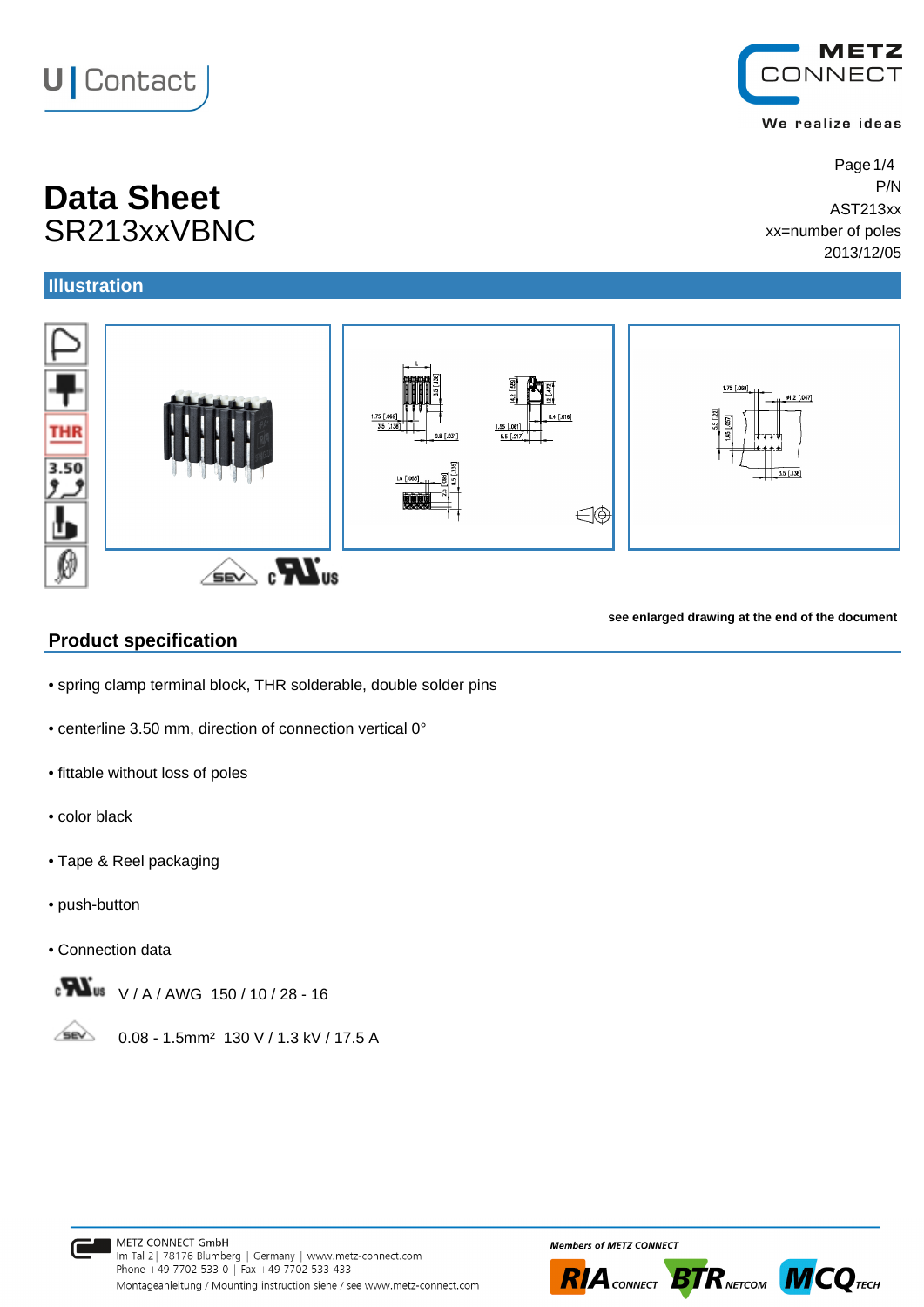# **U** Contact

# **Data Sheet** P/N SR213xxVBNC

### **Illustration**

**THR** 

3.50



#### **Product specification**

• spring clamp terminal block, THR solderable, double solder pins

 $\widehat{\mathbb{R}}$   $\mathbb{R}$   $\mathbb{Z}$   $\mathbb{Z}$   $\mathbb{Z}$ 

- centerline 3.50 mm, direction of connection vertical 0°
- fittable without loss of poles
- color black
- Tape & Reel packaging
- push-button
- Connection data



**SEV** 0.08 - 1.5mm² 130 V / 1.3 kV / 17.5 A









#### We realize ideas

Page 1/4 AST213xx xx=number of poles

**see enlarged drawing at the end of the document**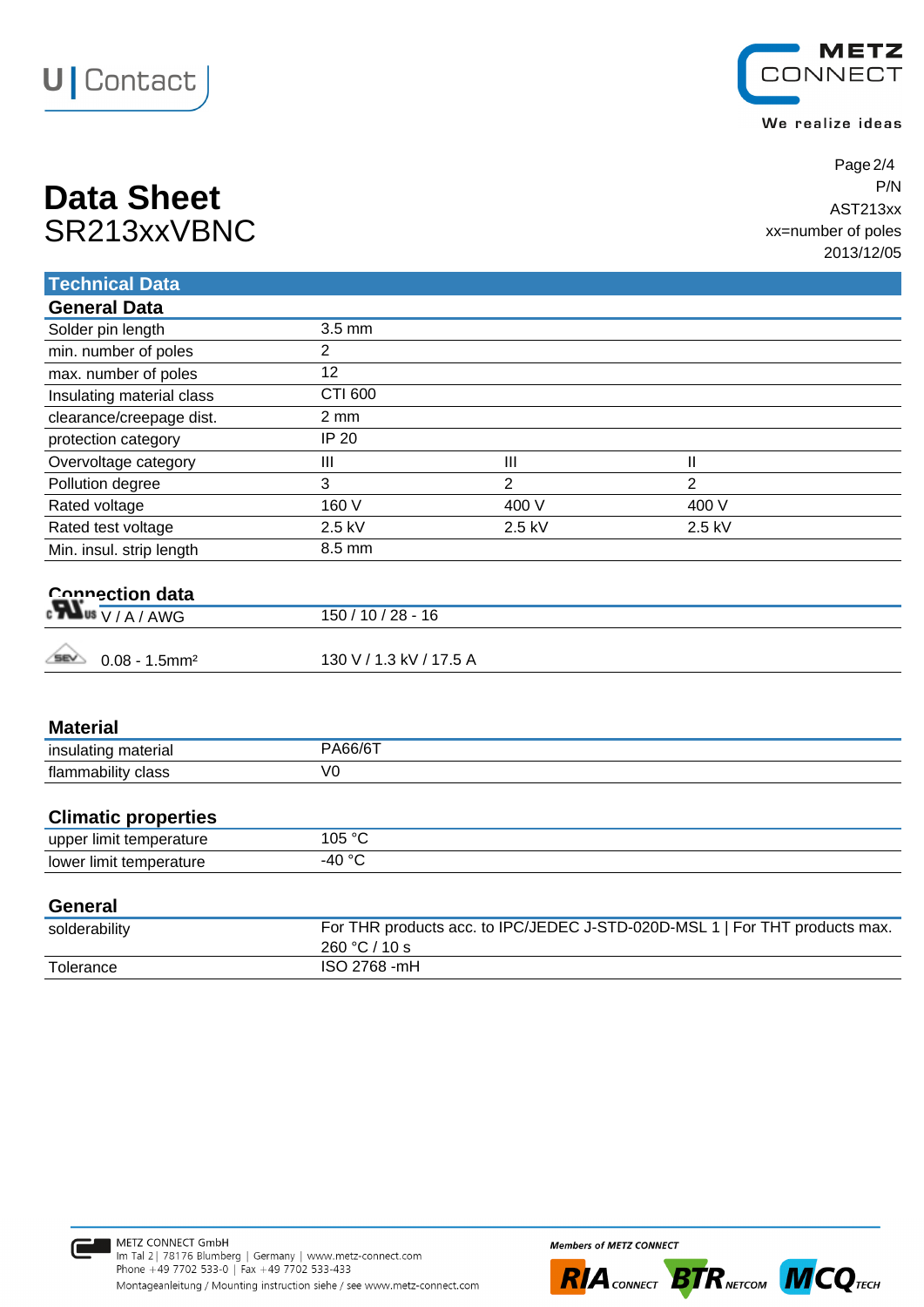



We realize ideas

| <b>Data Sheet</b> | P/N                |
|-------------------|--------------------|
|                   | AST213xx           |
| SR213xxVBNC       | xx=number of poles |
|                   | $0.04214000$       |

Page 2/4 AST213xx xx=number of poles 2013/12/05

| <b>Technical Data</b>                      |                                                                                              |                |              |  |
|--------------------------------------------|----------------------------------------------------------------------------------------------|----------------|--------------|--|
| <b>General Data</b>                        |                                                                                              |                |              |  |
| Solder pin length                          | 3.5 mm                                                                                       |                |              |  |
| min. number of poles                       | $\overline{2}$                                                                               |                |              |  |
| max. number of poles                       | 12                                                                                           |                |              |  |
| Insulating material class                  | <b>CTI 600</b>                                                                               |                |              |  |
| clearance/creepage dist.                   | $2 \, \text{mm}$                                                                             |                |              |  |
| protection category                        | <b>IP 20</b>                                                                                 |                |              |  |
| Overvoltage category                       | III                                                                                          | III            | $\mathsf{I}$ |  |
| Pollution degree                           | 3                                                                                            | $\overline{2}$ | 2            |  |
| Rated voltage                              | 160 V                                                                                        | 400 V          | 400 V        |  |
| Rated test voltage                         | 2.5 kV                                                                                       | 2.5 kV         | 2.5 kV       |  |
| Min. insul. strip length                   | 8.5 mm                                                                                       |                |              |  |
| Connection data                            | $150/10/28 - 16$                                                                             |                |              |  |
|                                            |                                                                                              |                |              |  |
| <b>SEV</b><br>$0.08 - 1.5$ mm <sup>2</sup> | 130 V / 1.3 kV / 17.5 A                                                                      |                |              |  |
| <b>Material</b>                            |                                                                                              |                |              |  |
| insulating material                        | PA66/6T                                                                                      |                |              |  |
| flammability class                         | V <sub>0</sub>                                                                               |                |              |  |
| <b>Climatic properties</b>                 |                                                                                              |                |              |  |
| upper limit temperature                    | 105 °C                                                                                       |                |              |  |
| lower limit temperature                    | $-40 °C$                                                                                     |                |              |  |
| <b>General</b>                             |                                                                                              |                |              |  |
| solderability                              | For THR products acc. to IPC/JEDEC J-STD-020D-MSL 1   For THT products max.<br>260 °C / 10 s |                |              |  |



Tolerance ISO 2768 -mH



**Members of METZ CONNECT** 

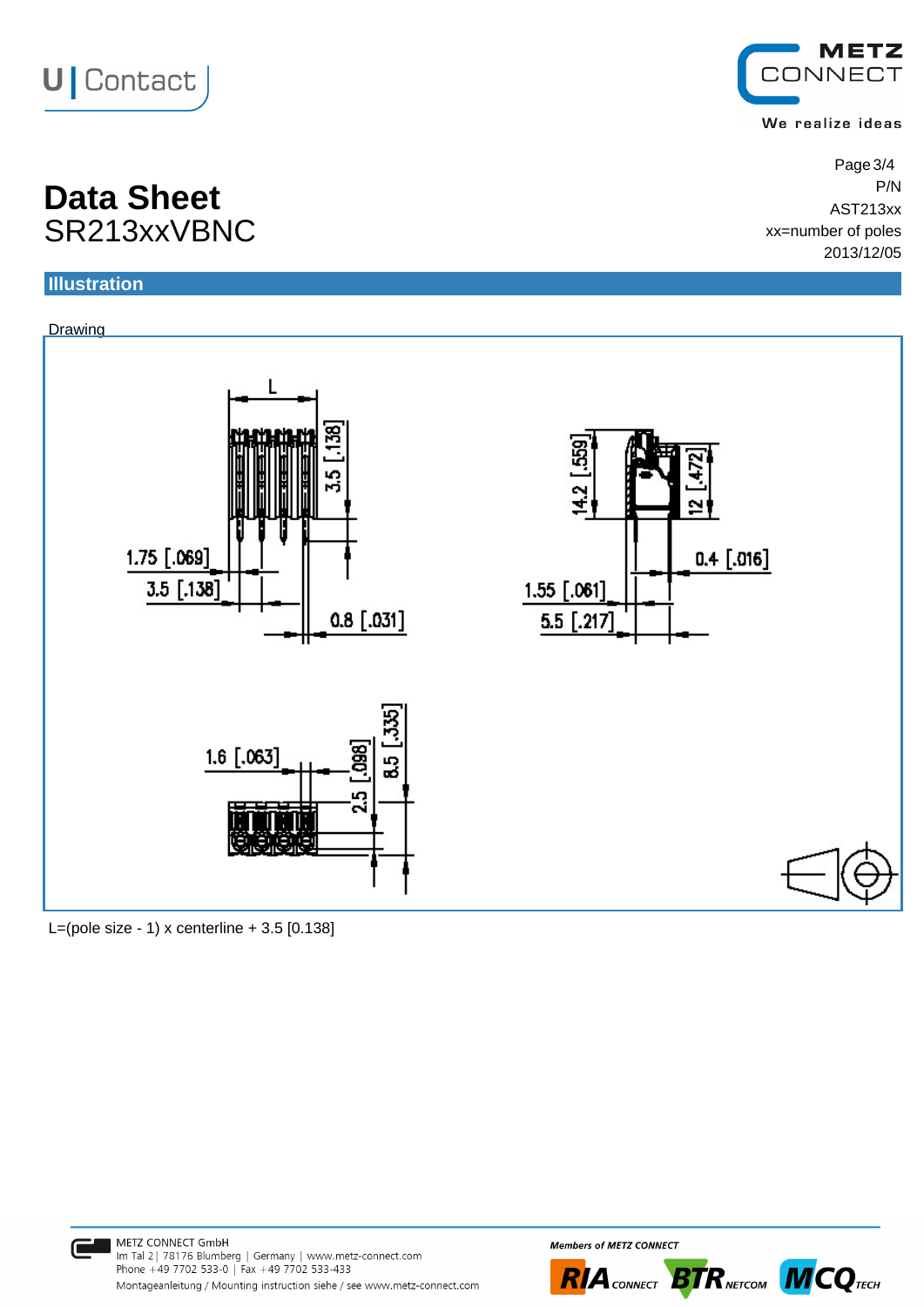



We realize ideas

Page 3/4 AST213xx xx=number of poles 2013/12/05

## **Data Sheet** P/N SR213xxVBNC

### **Illustration**



L=(pole size - 1) x centerline  $+ 3.5$  [0.138]